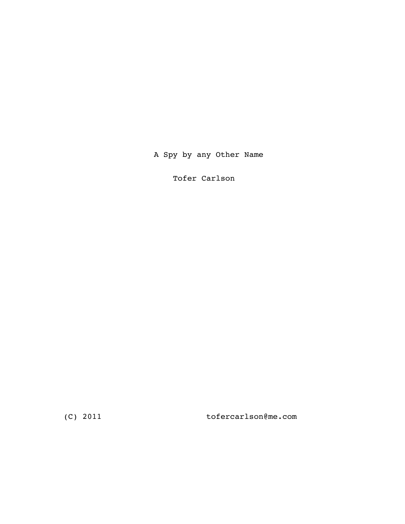# A Spy by any Other Name

Tofer Carlson

(C) 2011 tofercarlson@me.com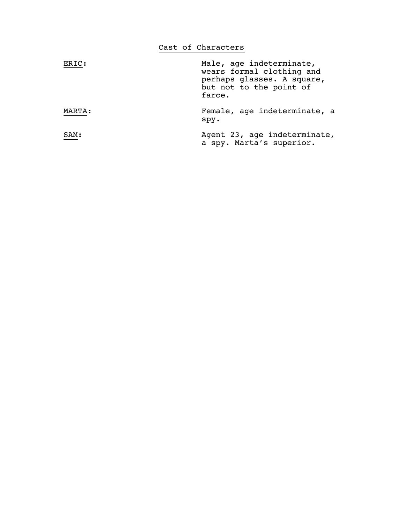|        | Cast of Characters                                                                                                       |
|--------|--------------------------------------------------------------------------------------------------------------------------|
| ERIC:  | Male, age indeterminate,<br>wears formal clothing and<br>perhaps glasses. A square,<br>but not to the point of<br>farce. |
| MARTA: | Female, age indeterminate, a<br>spy.                                                                                     |
| SAM:   | Agent 23, age indeterminate,<br>a spy. Marta's superior.                                                                 |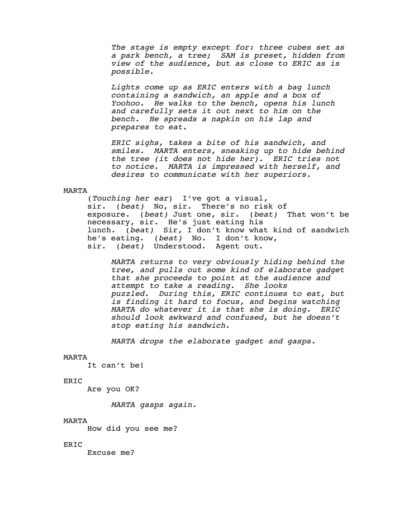*The stage is empty except for: three cubes set as a park bench, a tree; SAM is preset, hidden from view of the audience, but as close to ERIC as is possible.*

Lights come up as ERIC enters with a bag lunch<br>containing a sandwich, an apple and a box of<br>Yoohoo. He walks to the bench, opens his lunch<br>and carefully sets it out next to him on the<br>bench. He spreads a napkin on his lap

ERIC sighs, takes a bite of his sandwich, and<br>smiles. MARTA enters, sneaking up to hide behind<br>the tree (it does not hide her). ERIC tries not<br>to notice. MARTA is impressed with herself, and<br>desires to communicate with her

### MARTA

 (*Touching her ear*) I've got a visual, sir. (*beat)* No, sir. There's no risk of exposure. (*beat)* Just one, sir. (*beat)* That won't be necessary, sir. He's just eating his lunch. (*beat)* Sir, I don't know what kind of sandwich he's eating. (*beat)* No. I don't know, sir. (*beat)* Understood. Agent out.

 *MARTA returns to very obviously hiding behind the tree, and pulls out some kind of elaborate gadget that she proceeds to point at the audience and attempt to take a reading. She looks puzzled. During this, ERIC continues to eat, but is finding it hard to focus, and begins watching MARTA do whatever it is that she is doing. ERIC should look awkward and confused, but he doesn't stop eating his sandwich.*

*MARTA drops the elaborate gadget and gasps.*

### MARTA

It can't be!

### ERIC

Are you OK?

*MARTA gasps again.*

#### MARTA

How did you see me?

### ERIC

Excuse me?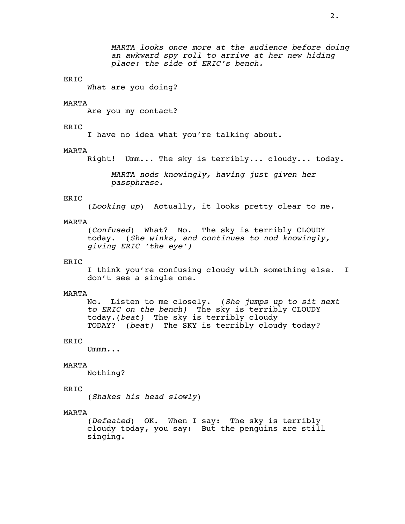What are you doing?

### MARTA

Are you my contact?

### ERIC

I have no idea what you're talking about.

### MARTA

Right! Umm... The sky is terribly... cloudy... today.

*MARTA nods knowingly, having just given her passphrase.*

### ERIC

(*Looking up*) Actually, it looks pretty clear to me*.*

### MARTA

 (*Confused*) What? No. The sky is terribly CLOUDY today. (*She winks, and continues to nod knowingly, giving ERIC 'the eye')*

### ERIC

 I think you're confusing cloudy with something else. I don't see a single one.

### MARTA

 No. Listen to me closely. (*She jumps up to sit next to ERIC on the bench)* The sky is terribly CLOUDY today.(*beat)* The sky is terribly cloudy TODAY? (*beat)* The SKY is terribly cloudy today?

### ERIC

Ummm...

### MARTA

Nothing?

### ERIC

(*Shakes his head slowly*)

#### MARTA

 (*Defeated*) OK. When I say: The sky is terribly cloudy today, you say: But the penguins are still singing.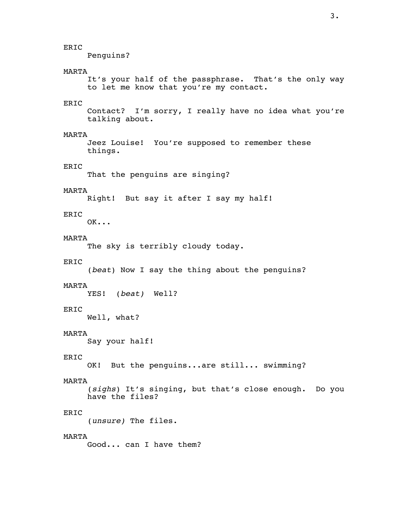Penguins?

### MARTA

 It's your half of the passphrase. That's the only way to let me know that you're my contact.

# ERIC

 Contact? I'm sorry, I really have no idea what you're talking about.

### MARTA

 Jeez Louise! You're supposed to remember these things.

# ERIC

That the penguins are singing?

### MARTA

Right! But say it after I say my half!

# ERIC

OK...

# MARTA

The sky is terribly cloudy today.

### ERIC

(*beat*) Now I say the thing about the penguins?

### MARTA

YES! (*beat)* Well?

### ERIC

Well, what?

### MARTA

Say your half!

### ERIC

OK! But the penguins...are still... swimming?

### MARTA

 (*sighs*) It's singing, but that's close enough. Do you have the files?

## ERIC

(*unsure)* The files.

### MARTA

Good... can I have them?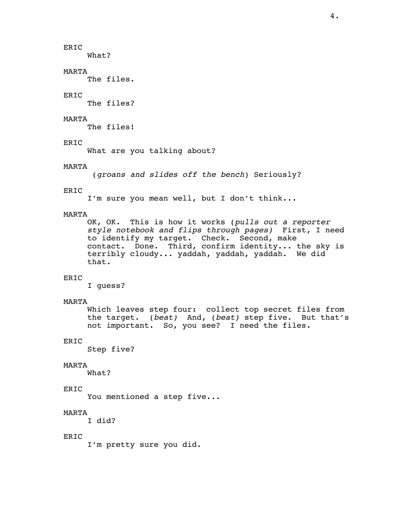What?

### MARTA

The files.

# ERIC

The files?

# MARTA

The files!

### ERIC

What are you talking about?

### MARTA

(*groans and slides off the bench*) Seriously?

# ERIC

I'm sure you mean well, but I don't think...

MARTA<br>OK, OK. This is how it works (pulls out a reporter OK, OK. This is how it works (*pulls out a reporter style notebook and flips through pages)* First, I need to identify my target. Check. Second, make contact. Done. Third, confirm identity... the sky is terribly cloudy... yaddah, yaddah, yaddah. We did that.

# ERIC

I guess?

### MARTA

 Which leaves step four: collect top secret files from the target. (*beat)* And, (*beat)* step five. But that's not important. So, you see? I need the files.

# ERIC

Step five?

### MARTA

What?

### ERIC

You mentioned a step five...

# MARTA

I did?

### ERIC

I'm pretty sure you did.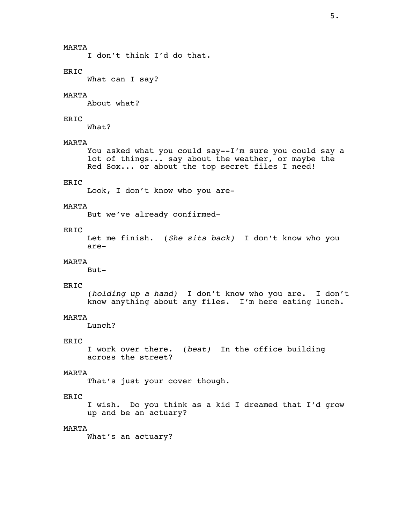# MARTA

I don't think I'd do that.

### ERIC

What can I say?

### MARTA

About what?

# ERIC

What?

# MARTA

 You asked what you could say--I'm sure you could say a lot of things... say about the weather, or maybe the Red Sox... or about the top secret files I need!

### ERIC

Look, I don't know who you are-

### MARTA

But we've already confirmed-

# ERIC

 Let me finish. (*She sits back)* I don't know who you are-

# MARTA

But-

### ERIC

 (*holding up a hand)* I don't know who you are. I don't know anything about any files. I'm here eating lunch.

### MARTA

Lunch?

### ERIC

 I work over there. (*beat)* In the office building across the street?

### MARTA

That's just your cover though.

## ERIC

 I wish. Do you think as a kid I dreamed that I'd grow up and be an actuary?

### MARTA

What's an actuary?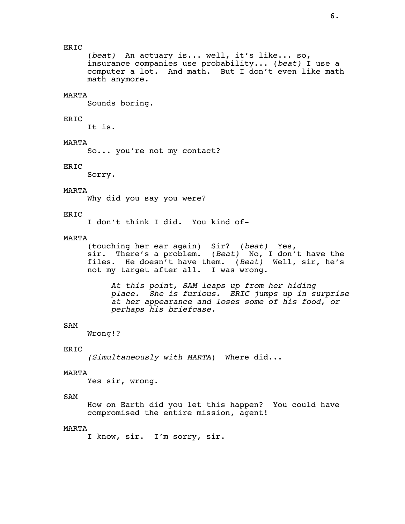(*beat)* An actuary is... well, it's like... so, insurance companies use probability... (*beat)* I use a computer a lot. And math. But I don't even like math math anymore.

### MARTA

Sounds boring.

### ERIC

It is.

### MARTA

So... you're not my contact?

### ERIC

Sorry.

### MARTA

Why did you say you were?

### ERIC

I don't think I did. You kind of-

### MARTA

 (touching her ear again) Sir? (*beat)* Yes, sir. There's a problem. (*Beat)* No, I don't have the files. He doesn't have them. (*Beat)* Well, sir, he's not my target after all. I was wrong.

 *At this point, SAM leaps up from her hiding place. She is furious. ERIC jumps up in surprise at her appearance and loses some of his food, or perhaps his briefcase.*

# SAM

Wrong!?

# ERIC

*(Simultaneously with MARTA*) Where did...

### MARTA

Yes sir, wrong.

### SAM

 How on Earth did you let this happen? You could have compromised the entire mission, agent!

### MARTA

I know, sir. I'm sorry, sir.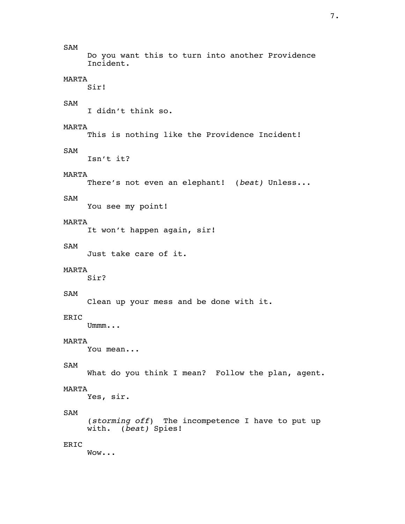7.

# SAM

 Do you want this to turn into another Providence Incident.

# MARTA

Sir!

# SAM

I didn't think so.

# MARTA

This is nothing like the Providence Incident!

# SAM

Isn't it?

# MARTA

There's not even an elephant! (*beat)* Unless...

# SAM

You see my point!

# MARTA

It won't happen again, sir!

# SAM

Just take care of it.

# MARTA

Sir?

# SAM

Clean up your mess and be done with it.

# ERIC

Ummm...

# MARTA

You mean...

# SAM

What do you think I mean? Follow the plan, agent.

# MARTA

Yes, sir.

# SAM

 (*storming off*) The incompetence I have to put up with. (*beat)* Spies!

# ERIC

Wow...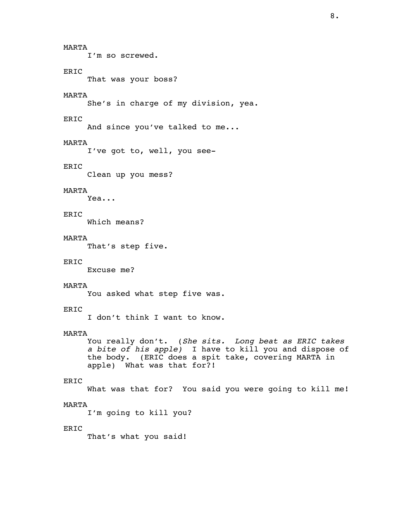MARTA

I'm so screwed.

### ERIC

That was your boss?

# MARTA

She's in charge of my division, yea.

# ERIC

And since you've talked to me...

# MARTA

I've got to, well, you see-

### ERIC

Clean up you mess?

## MARTA

Yea...

# ERIC

Which means?

# MARTA

That's step five.

### ERIC

Excuse me?

### MARTA

You asked what step five was.

# ERIC

I don't think I want to know.

### MARTA

 You really don't. (*She sits. Long beat as ERIC takes a bite of his apple)* I have to kill you and dispose of the body. (ERIC does a spit take, covering MARTA in apple) What was that for?!

### ERIC

What was that for? You said you were going to kill me!

### MARTA

I'm going to kill you?

### ERIC

That's what you said!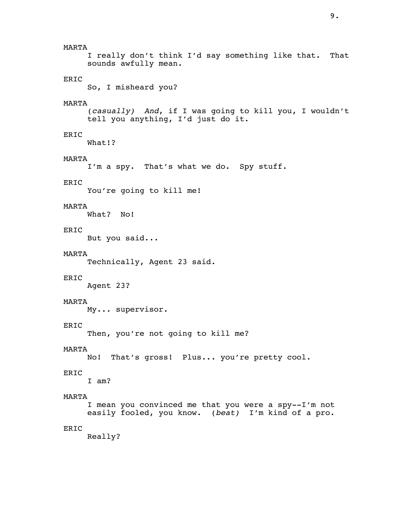I really don't think I'd say something like that. That sounds awfully mean.

# ERIC

So, I misheard you?

### MARTA

 (*casually) And*, if I was going to kill you, I wouldn't tell you anything, I'd just do it.

# ERIC

What!?

### MARTA

I'm a spy. That's what we do. Spy stuff.

### ERIC

You're going to kill me!

### MARTA

What? No!

### ERIC

But you said...

### MARTA

Technically, Agent 23 said.

### ERIC

Agent 23?

# MARTA

My... supervisor.

# ERIC

Then, you're not going to kill me?

### MARTA

No! That's gross! Plus... you're pretty cool.

### ERIC

I am?

### MARTA

 I mean you convinced me that you were a spy--I'm not easily fooled, you know. (*beat)* I'm kind of a pro.

### ERIC

Really?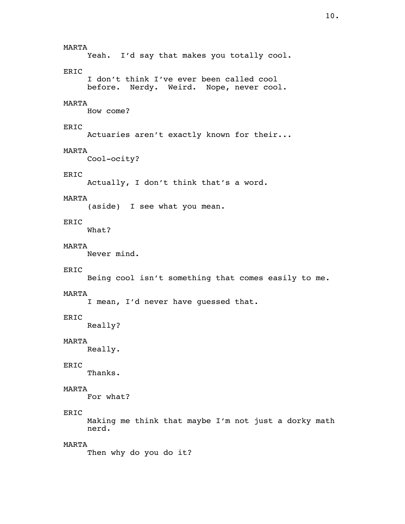MARTA Yeah. I'd say that makes you totally cool. ERIC I don't think I've ever been called cool before. Nerdy. Weird. Nope, never cool. MARTA How come? ERIC Actuaries aren't exactly known for their... MARTA Cool-ocity? ERIC Actually, I don't think that's a word. MARTA (aside) I see what you mean. ERIC What? MARTA Never mind. ERIC Being cool isn't something that comes easily to me. MARTA I mean, I'd never have guessed that. ERIC Really? MARTA Really. ERIC Thanks. MARTA For what? ERIC Making me think that maybe I'm not just a dorky math nerd. MARTA Then why do you do it?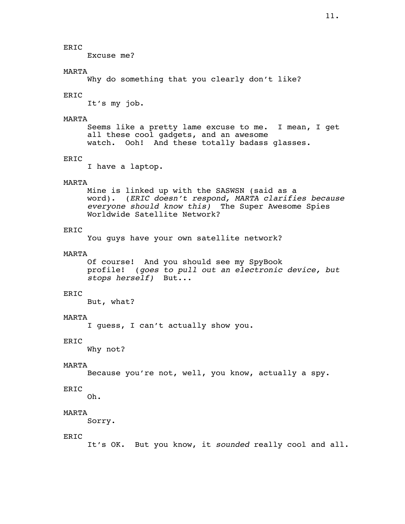Excuse me?

### MARTA

Why do something that you clearly don't like?

### ERIC

It's my job.

### MARTA

 Seems like a pretty lame excuse to me. I mean, I get all these cool gadgets, and an awesome watch. Ooh! And these totally badass glasses.

### ERIC

I have a laptop.

#### MARTA

 Mine is linked up with the SASWSN (said as a word). (*ERIC doesn't respond, MARTA clarifies because everyone should know this)* The Super Awesome Spies Worldwide Satellite Network?

### ERIC

You guys have your own satellite network?

### MARTA

 Of course! And you should see my SpyBook profile! (*goes to pull out an electronic device, but stops herself)* But...

# ERIC

But, what?

### MARTA

I guess, I can't actually show you.

### ERIC

Why not?

### MARTA

Because you're not, well, you know, actually a spy.

# ERIC

Oh.

# MARTA

Sorry.

### ERIC

It's OK. But you know, it *sounded* really cool and all.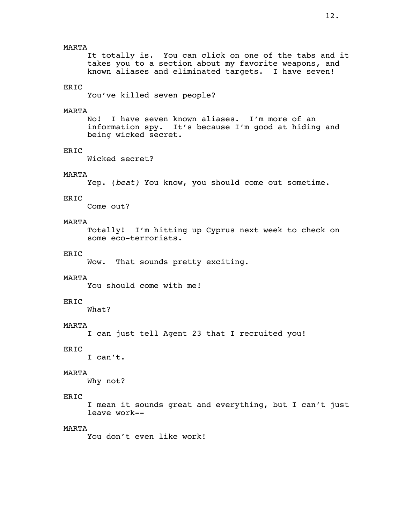It totally is. You can click on one of the tabs and it takes you to a section about my favorite weapons, and known aliases and eliminated targets. I have seven!

### ERIC

You've killed seven people?

### MARTA

 No! I have seven known aliases. I'm more of an information spy. It's because I'm good at hiding and being wicked secret.

### ERIC

Wicked secret?

### MARTA

Yep. (*beat)* You know, you should come out sometime.

### ERIC

Come out?

# MARTA

 Totally! I'm hitting up Cyprus next week to check on some eco-terrorists.

### ERIC

Wow. That sounds pretty exciting.

### MARTA

You should come with me!

# ERIC

What?

# MARTA

I can just tell Agent 23 that I recruited you!

# ERIC

I can't.

### MARTA

Why not?

### ERIC

 I mean it sounds great and everything, but I can't just leave work--

### MARTA

You don't even like work!